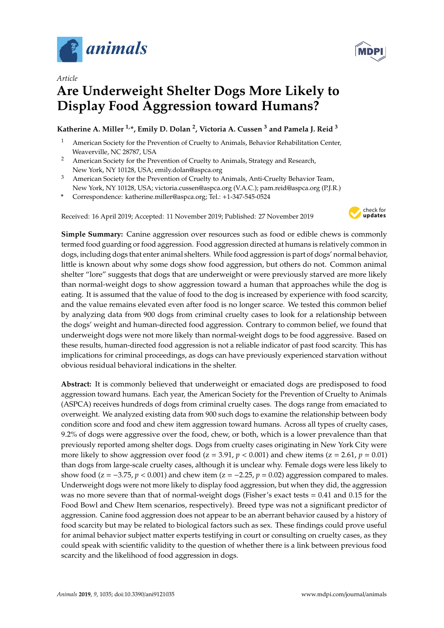

*Article*

# **Are Underweight Shelter Dogs More Likely to Display Food Aggression toward Humans?**

## **Katherine A. Miller 1,\*, Emily D. Dolan <sup>2</sup> , Victoria A. Cussen <sup>3</sup> and Pamela J. Reid <sup>3</sup>**

- <sup>1</sup> American Society for the Prevention of Cruelty to Animals, Behavior Rehabilitation Center, Weaverville, NC 28787, USA
- <sup>2</sup> American Society for the Prevention of Cruelty to Animals, Strategy and Research, New York, NY 10128, USA; emily.dolan@aspca.org
- $3$  American Society for the Prevention of Cruelty to Animals, Anti-Cruelty Behavior Team, New York, NY 10128, USA; victoria.cussen@aspca.org (V.A.C.); pam.reid@aspca.org (P.J.R.)
- **\*** Correspondence: katherine.miller@aspca.org; Tel.: +1-347-545-0524

Received: 16 April 2019; Accepted: 11 November 2019; Published: 27 November 2019



**Simple Summary:** Canine aggression over resources such as food or edible chews is commonly termed food guarding or food aggression. Food aggression directed at humans is relatively common in dogs, including dogs that enter animal shelters. While food aggression is part of dogs' normal behavior, little is known about why some dogs show food aggression, but others do not. Common animal shelter "lore" suggests that dogs that are underweight or were previously starved are more likely than normal-weight dogs to show aggression toward a human that approaches while the dog is eating. It is assumed that the value of food to the dog is increased by experience with food scarcity, and the value remains elevated even after food is no longer scarce. We tested this common belief by analyzing data from 900 dogs from criminal cruelty cases to look for a relationship between the dogs' weight and human-directed food aggression. Contrary to common belief, we found that underweight dogs were not more likely than normal-weight dogs to be food aggressive. Based on these results, human-directed food aggression is not a reliable indicator of past food scarcity. This has implications for criminal proceedings, as dogs can have previously experienced starvation without obvious residual behavioral indications in the shelter.

**Abstract:** It is commonly believed that underweight or emaciated dogs are predisposed to food aggression toward humans. Each year, the American Society for the Prevention of Cruelty to Animals (ASPCA) receives hundreds of dogs from criminal cruelty cases. The dogs range from emaciated to overweight. We analyzed existing data from 900 such dogs to examine the relationship between body condition score and food and chew item aggression toward humans. Across all types of cruelty cases, 9.2% of dogs were aggressive over the food, chew, or both, which is a lower prevalence than that previously reported among shelter dogs. Dogs from cruelty cases originating in New York City were more likely to show aggression over food ( $z = 3.91$ ,  $p < 0.001$ ) and chew items ( $z = 2.61$ ,  $p = 0.01$ ) than dogs from large-scale cruelty cases, although it is unclear why. Female dogs were less likely to show food ( $z = -3.75$ ,  $p < 0.001$ ) and chew item ( $z = -2.25$ ,  $p = 0.02$ ) aggression compared to males. Underweight dogs were not more likely to display food aggression, but when they did, the aggression was no more severe than that of normal-weight dogs (Fisher's exact tests = 0.41 and 0.15 for the Food Bowl and Chew Item scenarios, respectively). Breed type was not a significant predictor of aggression. Canine food aggression does not appear to be an aberrant behavior caused by a history of food scarcity but may be related to biological factors such as sex. These findings could prove useful for animal behavior subject matter experts testifying in court or consulting on cruelty cases, as they could speak with scientific validity to the question of whether there is a link between previous food scarcity and the likelihood of food aggression in dogs.

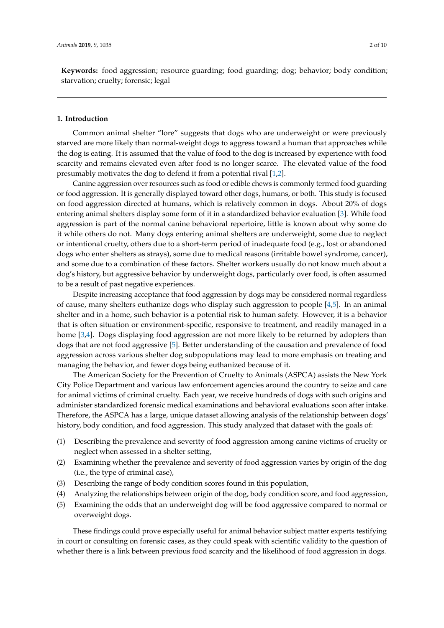**Keywords:** food aggression; resource guarding; food guarding; dog; behavior; body condition; starvation; cruelty; forensic; legal

#### **1. Introduction**

Common animal shelter "lore" suggests that dogs who are underweight or were previously starved are more likely than normal-weight dogs to aggress toward a human that approaches while the dog is eating. It is assumed that the value of food to the dog is increased by experience with food scarcity and remains elevated even after food is no longer scarce. The elevated value of the food presumably motivates the dog to defend it from a potential rival [\[1,](#page-9-0)[2\]](#page-9-1).

Canine aggression over resources such as food or edible chews is commonly termed food guarding or food aggression. It is generally displayed toward other dogs, humans, or both. This study is focused on food aggression directed at humans, which is relatively common in dogs. About 20% of dogs entering animal shelters display some form of it in a standardized behavior evaluation [\[3\]](#page-9-2). While food aggression is part of the normal canine behavioral repertoire, little is known about why some do it while others do not. Many dogs entering animal shelters are underweight, some due to neglect or intentional cruelty, others due to a short-term period of inadequate food (e.g., lost or abandoned dogs who enter shelters as strays), some due to medical reasons (irritable bowel syndrome, cancer), and some due to a combination of these factors. Shelter workers usually do not know much about a dog's history, but aggressive behavior by underweight dogs, particularly over food, is often assumed to be a result of past negative experiences.

Despite increasing acceptance that food aggression by dogs may be considered normal regardless of cause, many shelters euthanize dogs who display such aggression to people [\[4,](#page-9-3)[5\]](#page-9-4). In an animal shelter and in a home, such behavior is a potential risk to human safety. However, it is a behavior that is often situation or environment-specific, responsive to treatment, and readily managed in a home [\[3](#page-9-2)[,4\]](#page-9-3). Dogs displaying food aggression are not more likely to be returned by adopters than dogs that are not food aggressive [\[5\]](#page-9-4). Better understanding of the causation and prevalence of food aggression across various shelter dog subpopulations may lead to more emphasis on treating and managing the behavior, and fewer dogs being euthanized because of it.

The American Society for the Prevention of Cruelty to Animals (ASPCA) assists the New York City Police Department and various law enforcement agencies around the country to seize and care for animal victims of criminal cruelty. Each year, we receive hundreds of dogs with such origins and administer standardized forensic medical examinations and behavioral evaluations soon after intake. Therefore, the ASPCA has a large, unique dataset allowing analysis of the relationship between dogs' history, body condition, and food aggression. This study analyzed that dataset with the goals of:

- (1) Describing the prevalence and severity of food aggression among canine victims of cruelty or neglect when assessed in a shelter setting,
- (2) Examining whether the prevalence and severity of food aggression varies by origin of the dog (i.e., the type of criminal case),
- (3) Describing the range of body condition scores found in this population,
- (4) Analyzing the relationships between origin of the dog, body condition score, and food aggression,
- (5) Examining the odds that an underweight dog will be food aggressive compared to normal or overweight dogs.

These findings could prove especially useful for animal behavior subject matter experts testifying in court or consulting on forensic cases, as they could speak with scientific validity to the question of whether there is a link between previous food scarcity and the likelihood of food aggression in dogs.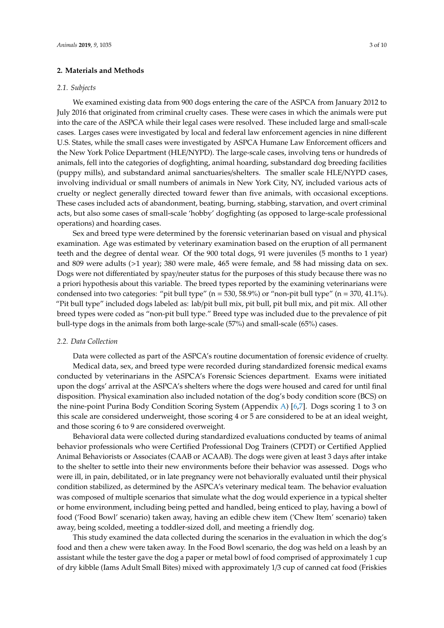#### **2. Materials and Methods**

#### *2.1. Subjects*

We examined existing data from 900 dogs entering the care of the ASPCA from January 2012 to July 2016 that originated from criminal cruelty cases. These were cases in which the animals were put into the care of the ASPCA while their legal cases were resolved. These included large and small-scale cases. Larges cases were investigated by local and federal law enforcement agencies in nine different U.S. States, while the small cases were investigated by ASPCA Humane Law Enforcement officers and the New York Police Department (HLE/NYPD). The large-scale cases, involving tens or hundreds of animals, fell into the categories of dogfighting, animal hoarding, substandard dog breeding facilities (puppy mills), and substandard animal sanctuaries/shelters. The smaller scale HLE/NYPD cases, involving individual or small numbers of animals in New York City, NY, included various acts of cruelty or neglect generally directed toward fewer than five animals, with occasional exceptions. These cases included acts of abandonment, beating, burning, stabbing, starvation, and overt criminal acts, but also some cases of small-scale 'hobby' dogfighting (as opposed to large-scale professional operations) and hoarding cases.

Sex and breed type were determined by the forensic veterinarian based on visual and physical examination. Age was estimated by veterinary examination based on the eruption of all permanent teeth and the degree of dental wear. Of the 900 total dogs, 91 were juveniles (5 months to 1 year) and 809 were adults (>1 year); 380 were male, 465 were female, and 58 had missing data on sex. Dogs were not differentiated by spay/neuter status for the purposes of this study because there was no a priori hypothesis about this variable. The breed types reported by the examining veterinarians were condensed into two categories: "pit bull type" ( $n = 530, 58.9\%$ ) or "non-pit bull type" ( $n = 370, 41.1\%$ ). "Pit bull type" included dogs labeled as: lab/pit bull mix, pit bull, pit bull mix, and pit mix. All other breed types were coded as "non-pit bull type." Breed type was included due to the prevalence of pit bull-type dogs in the animals from both large-scale (57%) and small-scale (65%) cases.

#### *2.2. Data Collection*

Data were collected as part of the ASPCA's routine documentation of forensic evidence of cruelty. Medical data, sex, and breed type were recorded during standardized forensic medical exams conducted by veterinarians in the ASPCA's Forensic Sciences department. Exams were initiated upon the dogs' arrival at the ASPCA's shelters where the dogs were housed and cared for until final disposition. Physical examination also included notation of the dog's body condition score (BCS) on the nine-point Purina Body Condition Scoring System (Appendix [A\)](#page-8-0) [\[6,](#page-9-5)[7\]](#page-9-6). Dogs scoring 1 to 3 on this scale are considered underweight, those scoring 4 or 5 are considered to be at an ideal weight, and those scoring 6 to 9 are considered overweight.

Behavioral data were collected during standardized evaluations conducted by teams of animal behavior professionals who were Certified Professional Dog Trainers (CPDT) or Certified Applied Animal Behaviorists or Associates (CAAB or ACAAB). The dogs were given at least 3 days after intake to the shelter to settle into their new environments before their behavior was assessed. Dogs who were ill, in pain, debilitated, or in late pregnancy were not behaviorally evaluated until their physical condition stabilized, as determined by the ASPCA's veterinary medical team. The behavior evaluation was composed of multiple scenarios that simulate what the dog would experience in a typical shelter or home environment, including being petted and handled, being enticed to play, having a bowl of food ('Food Bowl' scenario) taken away, having an edible chew item ('Chew Item' scenario) taken away, being scolded, meeting a toddler-sized doll, and meeting a friendly dog.

This study examined the data collected during the scenarios in the evaluation in which the dog's food and then a chew were taken away. In the Food Bowl scenario, the dog was held on a leash by an assistant while the tester gave the dog a paper or metal bowl of food comprised of approximately 1 cup of dry kibble (Iams Adult Small Bites) mixed with approximately 1/3 cup of canned cat food (Friskies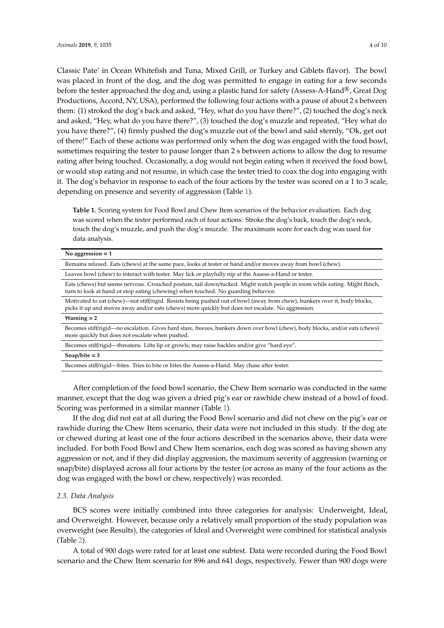Classic Pate' in Ocean Whitefish and Tuna, Mixed Grill, or Turkey and Giblets flavor). The bowl was placed in front of the dog, and the dog was permitted to engage in eating for a few seconds before the tester approached the dog and, using a plastic hand for safety (Assess-A-Hand®, Great Dog Productions, Accord, NY, USA), performed the following four actions with a pause of about 2 s between them: (1) stroked the dog's back and asked, "Hey, what do you have there?", (2) touched the dog's neck and asked, "Hey, what do you have there?", (3) touched the dog's muzzle and repeated, "Hey what do you have there?", (4) firmly pushed the dog's muzzle out of the bowl and said sternly, "Ok, get out of there!" Each of these actions was performed only when the dog was engaged with the food bowl, sometimes requiring the tester to pause longer than 2 s between actions to allow the dog to resume eating after being touched. Occasionally, a dog would not begin eating when it received the food bowl, or would stop eating and not resume, in which case the tester tried to coax the dog into engaging with it. The dog's behavior in response to each of the four actions by the tester was scored on a 1 to 3 scale, depending on presence and severity of aggression (Table [1\)](#page-3-0).

<span id="page-3-0"></span>**Table 1.** Scoring system for Food Bowl and Chew Item scenarios of the behavior evaluation. Each dog was scored when the tester performed each of four actions: Stroke the dog's back, touch the dog's neck, touch the dog's muzzle, and push the dog's muzzle. The maximum score for each dog was used for data analysis.

| Remains relaxed. Eats (chews) at the same pace, looks at tester or hand and/or moves away from bowl (chew).                                                                                                                    |
|--------------------------------------------------------------------------------------------------------------------------------------------------------------------------------------------------------------------------------|
| Leaves bowl (chew) to interact with tester. May lick or playfully nip at the Assess-a-Hand or tester.                                                                                                                          |
| Eats (chews) but seems nervous. Crouched posture, tail down/tucked. Might watch people in room while eating. Might flinch,<br>turn to look at hand or stop eating (chewing) when touched. No guarding behavior.                |
| Motivated to eat (chew)—not stiff/rigid. Resists being pushed out of bowl (away from chew), hunkers over it, body blocks,<br>picks it up and moves away and/or eats (chews) more quickly but does not escalate. No aggression. |
| $Warning = 2$                                                                                                                                                                                                                  |
| Becomes stiff/rigid—no escalation. Gives hard stare, freezes, hunkers down over bowl (chew), body blocks, and/or eats (chews)<br>more quickly but does not escalate when pushed.                                               |
| Becomes stiff/rigid—threatens. Lifts lip or growls, may raise hackles and/or give "hard eye".                                                                                                                                  |
| Snap/bite = $3$                                                                                                                                                                                                                |
| Becomes stiff/rigid—bites. Tries to bite or bites the Assess-a-Hand. May chase after tester.                                                                                                                                   |

After completion of the food bowl scenario, the Chew Item scenario was conducted in the same manner, except that the dog was given a dried pig's ear or rawhide chew instead of a bowl of food. Scoring was performed in a similar manner (Table [1\)](#page-3-0).

If the dog did not eat at all during the Food Bowl scenario and did not chew on the pig's ear or rawhide during the Chew Item scenario, their data were not included in this study. If the dog ate or chewed during at least one of the four actions described in the scenarios above, their data were included. For both Food Bowl and Chew Item scenarios, each dog was scored as having shown any aggression or not, and if they did display aggression, the maximum severity of aggression (warning or snap/bite) displayed across all four actions by the tester (or across as many of the four actions as the dog was engaged with the bowl or chew, respectively) was recorded.

#### *2.3. Data Analysis*

BCS scores were initially combined into three categories for analysis: Underweight, Ideal, and Overweight. However, because only a relatively small proportion of the study population was overweight (see Results), the categories of Ideal and Overweight were combined for statistical analysis (Table [2\)](#page-4-0).

A total of 900 dogs were rated for at least one subtest. Data were recorded during the Food Bowl scenario and the Chew Item scenario for 896 and 641 dogs, respectively. Fewer than 900 dogs were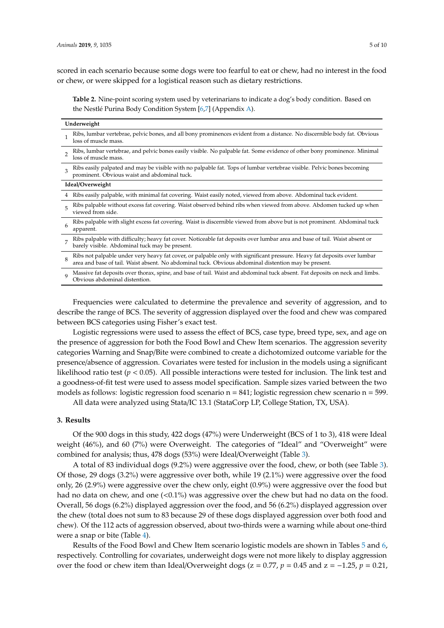scored in each scenario because some dogs were too fearful to eat or chew, had no interest in the food or chew, or were skipped for a logistical reason such as dietary restrictions.

<span id="page-4-0"></span>**Table 2.** Nine-point scoring system used by veterinarians to indicate a dog's body condition. Based on the Nestlé Purina Body Condition System [\[6,](#page-9-5)[7\]](#page-9-6) (Appendix [A\)](#page-8-0).

| Underweight              |                                                                                                                                                                                                                               |  |  |  |  |  |
|--------------------------|-------------------------------------------------------------------------------------------------------------------------------------------------------------------------------------------------------------------------------|--|--|--|--|--|
| $\mathbf{1}$             | Ribs, lumbar vertebrae, pelvic bones, and all bony prominences evident from a distance. No discernible body fat. Obvious<br>loss of muscle mass.                                                                              |  |  |  |  |  |
| $\overline{\mathcal{L}}$ | Ribs, lumbar vertebrae, and pelvic bones easily visible. No palpable fat. Some evidence of other bony prominence. Minimal<br>loss of muscle mass.                                                                             |  |  |  |  |  |
|                          | Ribs easily palpated and may be visible with no palpable fat. Tops of lumbar vertebrae visible. Pelvic bones becoming<br>prominent. Obvious waist and abdominal tuck.                                                         |  |  |  |  |  |
| Ideal/Overweight         |                                                                                                                                                                                                                               |  |  |  |  |  |
|                          | 4 Ribs easily palpable, with minimal fat covering. Waist easily noted, viewed from above. Abdominal tuck evident.                                                                                                             |  |  |  |  |  |
|                          | Ribs palpable without excess fat covering. Waist observed behind ribs when viewed from above. Abdomen tucked up when<br>viewed from side.                                                                                     |  |  |  |  |  |
| 6                        | Ribs palpable with slight excess fat covering. Waist is discernible viewed from above but is not prominent. Abdominal tuck<br>apparent.                                                                                       |  |  |  |  |  |
|                          | Ribs palpable with difficulty; heavy fat cover. Noticeable fat deposits over lumbar area and base of tail. Waist absent or<br>barely visible. Abdominal tuck may be present.                                                  |  |  |  |  |  |
| $\mathbf{g}$             | Ribs not palpable under very heavy fat cover, or palpable only with significant pressure. Heavy fat deposits over lumbar area and base of tail. Waist absent. No abdominal tuck. Obvious abdominal distention may be present. |  |  |  |  |  |
| q                        | Massive fat deposits over thorax, spine, and base of tail. Waist and abdominal tuck absent. Fat deposits on neck and limbs.<br>Obvious abdominal distention.                                                                  |  |  |  |  |  |
|                          |                                                                                                                                                                                                                               |  |  |  |  |  |

Frequencies were calculated to determine the prevalence and severity of aggression, and to describe the range of BCS. The severity of aggression displayed over the food and chew was compared between BCS categories using Fisher's exact test.

Logistic regressions were used to assess the effect of BCS, case type, breed type, sex, and age on the presence of aggression for both the Food Bowl and Chew Item scenarios. The aggression severity categories Warning and Snap/Bite were combined to create a dichotomized outcome variable for the presence/absence of aggression. Covariates were tested for inclusion in the models using a significant likelihood ratio test ( $p < 0.05$ ). All possible interactions were tested for inclusion. The link test and a goodness-of-fit test were used to assess model specification. Sample sizes varied between the two models as follows: logistic regression food scenario  $n = 841$ ; logistic regression chew scenario  $n = 599$ .

All data were analyzed using Stata/IC 13.1 (StataCorp LP, College Station, TX, USA).

### **3. Results**

Of the 900 dogs in this study, 422 dogs (47%) were Underweight (BCS of 1 to 3), 418 were Ideal weight (46%), and 60 (7%) were Overweight. The categories of "Ideal" and "Overweight" were combined for analysis; thus, 478 dogs (53%) were Ideal/Overweight (Table [3\)](#page-5-0).

A total of 83 individual dogs (9.2%) were aggressive over the food, chew, or both (see Table [3\)](#page-5-0). Of those, 29 dogs (3.2%) were aggressive over both, while 19 (2.1%) were aggressive over the food only, 26 (2.9%) were aggressive over the chew only, eight (0.9%) were aggressive over the food but had no data on chew, and one  $\langle 0.1\% \rangle$  was aggressive over the chew but had no data on the food. Overall, 56 dogs (6.2%) displayed aggression over the food, and 56 (6.2%) displayed aggression over the chew (total does not sum to 83 because 29 of these dogs displayed aggression over both food and chew). Of the 112 acts of aggression observed, about two-thirds were a warning while about one-third were a snap or bite (Table [4\)](#page-5-1).

Results of the Food Bowl and Chew Item scenario logistic models are shown in Tables [5](#page-5-2) and [6,](#page-5-3) respectively. Controlling for covariates, underweight dogs were not more likely to display aggression over the food or chew item than Ideal/Overweight dogs ( $z = 0.77$ ,  $p = 0.45$  and  $z = -1.25$ ,  $p = 0.21$ ,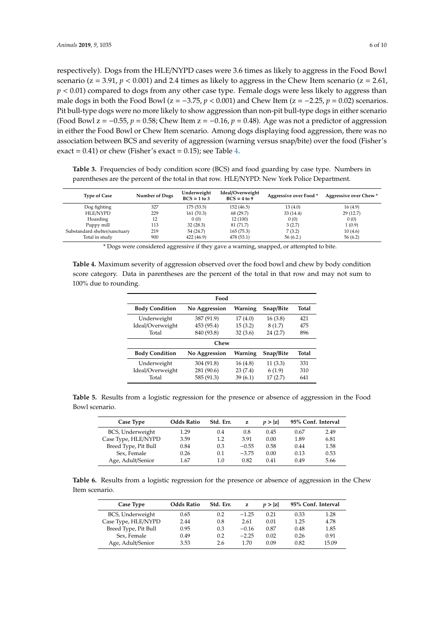respectively). Dogs from the HLE/NYPD cases were 3.6 times as likely to aggress in the Food Bowl scenario ( $z = 3.91$ ,  $p < 0.001$ ) and 2.4 times as likely to aggress in the Chew Item scenario ( $z = 2.61$ , *p* < 0.01) compared to dogs from any other case type. Female dogs were less likely to aggress than male dogs in both the Food Bowl ( $z = -3.75$ ,  $p < 0.001$ ) and Chew Item ( $z = -2.25$ ,  $p = 0.02$ ) scenarios. Pit bull-type dogs were no more likely to show aggression than non-pit bull-type dogs in either scenario (Food Bowl z = −0.55, *p* = 0.58; Chew Item z = −0.16, *p* = 0.48). Age was not a predictor of aggression in either the Food Bowl or Chew Item scenario. Among dogs displaying food aggression, there was no association between BCS and severity of aggression (warning versus snap/bite) over the food (Fisher's exact =  $0.41$ ) or chew (Fisher's exact =  $0.15$ ); see Table [4.](#page-5-1)

<span id="page-5-0"></span>**Table 3.** Frequencies of body condition score (BCS) and food guarding by case type. Numbers in parentheses are the percent of the total in that row. HLE/NYPD: New York Police Department.

| <b>Type of Case</b>           | <b>Number of Dogs</b> | Underweight<br>$BCS = 1 to 3$ | Ideal/Overweight<br>$BCS = 4 to 9$ | Aggressive over Food * | Aggressive over Chew * |
|-------------------------------|-----------------------|-------------------------------|------------------------------------|------------------------|------------------------|
| Dog fighting                  | 327                   | 175(53.5)                     | 152 (46.5)                         | 13(4.0)                | 16(4.9)                |
| HLE/NYPD                      | 229                   | 161 (70.3)                    | 68 (29.7)                          | 33(14.4)               | 29(12.7)               |
| Hoarding                      | 12                    | 0(0)                          | 12 (100)                           | 0(0)                   | 0(0)                   |
| Puppy mill                    | 113                   | 32(28.3)                      | 81 (71.7)                          | 3(2.7)                 | 1(0.9)                 |
| Substandard shelter/sanctuary | 219                   | 54 (24.7)                     | 165(75.3)                          | 7(3.2)                 | 10(4.6)                |
| Total in study                | 900                   | 422 (46.9)                    | 478 (53.1)                         | 56(6.2.)               | 56(6.2)                |

\* Dogs were considered aggressive if they gave a warning, snapped, or attempted to bite.

<span id="page-5-1"></span>**Table 4.** Maximum severity of aggression observed over the food bowl and chew by body condition score category. Data in parentheses are the percent of the total in that row and may not sum to 100% due to rounding.

| Food                  |                      |         |           |       |  |  |  |  |
|-----------------------|----------------------|---------|-----------|-------|--|--|--|--|
| <b>Body Condition</b> | <b>No Aggression</b> | Warning | Snap/Bite | Total |  |  |  |  |
| Underweight           | 387 (91.9)           | 17(4.0) | 16(3.8)   | 421   |  |  |  |  |
| Ideal/Overweight      | 453 (95.4)           | 15(3.2) | 8(1.7)    | 475   |  |  |  |  |
| 840 (93.8)<br>Total   |                      | 32(3.6) | 24(2.7)   | 896   |  |  |  |  |
| Chew                  |                      |         |           |       |  |  |  |  |
| <b>Body Condition</b> | <b>No Aggression</b> | Warning | Snap/Bite | Total |  |  |  |  |
| Underweight           | 304 (91.8)           | 16(4.8) | 11(3.3)   | 331   |  |  |  |  |
| Ideal/Overweight      | 281 (90.6)           | 23(7.4) | 6(1.9)    | 310   |  |  |  |  |
| Total                 | 585 (91.3)           | 39(6.1) | 17(2.7)   | 641   |  |  |  |  |

<span id="page-5-2"></span>**Table 5.** Results from a logistic regression for the presence or absence of aggression in the Food Bowl scenario.

| Case Type            | Odds Ratio | Std. Err. | Z       | p >  z | 95% Conf. Interval |      |
|----------------------|------------|-----------|---------|--------|--------------------|------|
| BCS, Underweight     | 1.29       | 0.4       | 0.8     | 0.45   | 0.67               | 2.49 |
| Case Type, HLE/NYPD  | 3.59       | 1.2       | 3.91    | 0.00   | 1.89               | 6.81 |
| Breed Type, Pit Bull | 0.84       | 0.3       | $-0.55$ | 0.58   | 0.44               | 1.58 |
| Sex, Female          | 0.26       | 0.1       | $-3.75$ | 0.00   | 0.13               | 0.53 |
| Age, Adult/Senior    | 1.67       | 1.0       | 0.82    | 0.41   | 0.49               | 5.66 |

<span id="page-5-3"></span>**Table 6.** Results from a logistic regression for the presence or absence of aggression in the Chew Item scenario.

| Case Type            | <b>Odds Ratio</b> | Std. Err. | z       | p >  z |      | 95% Conf. Interval |
|----------------------|-------------------|-----------|---------|--------|------|--------------------|
| BCS, Underweight     | 0.65              | 0.2       | $-1.25$ | 0.21   | 0.33 | 1.28               |
| Case Type, HLE/NYPD  | 2.44              | 0.8       | 2.61    | 0.01   | 1.25 | 4.78               |
| Breed Type, Pit Bull | 0.95              | 0.3       | $-0.16$ | 0.87   | 0.48 | 1.85               |
| Sex, Female          | 0.49              | 0.2       | $-2.25$ | 0.02   | 0.26 | 0.91               |
| Age, Adult/Senior    | 3.53              | 2.6       | 1.70    | 0.09   | 0.82 | 15.09              |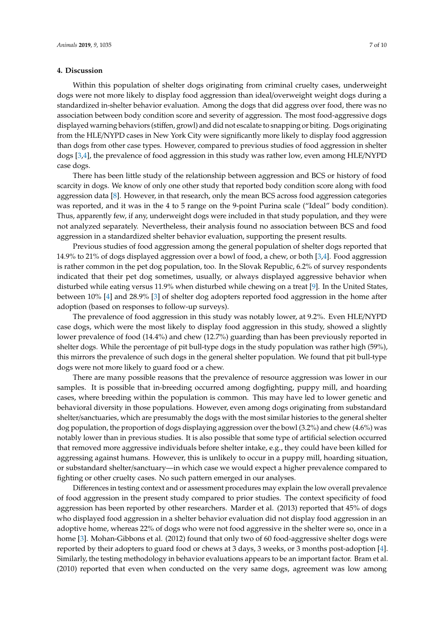### **4. Discussion**

Within this population of shelter dogs originating from criminal cruelty cases, underweight dogs were not more likely to display food aggression than ideal/overweight weight dogs during a standardized in-shelter behavior evaluation. Among the dogs that did aggress over food, there was no association between body condition score and severity of aggression. The most food-aggressive dogs displayed warning behaviors (stiffen, growl) and did not escalate to snapping or biting. Dogs originating from the HLE/NYPD cases in New York City were significantly more likely to display food aggression than dogs from other case types. However, compared to previous studies of food aggression in shelter dogs [\[3,](#page-9-2)[4\]](#page-9-3), the prevalence of food aggression in this study was rather low, even among HLE/NYPD case dogs.

There has been little study of the relationship between aggression and BCS or history of food scarcity in dogs. We know of only one other study that reported body condition score along with food aggression data [\[8\]](#page-9-7). However, in that research, only the mean BCS across food aggression categories was reported, and it was in the 4 to 5 range on the 9-point Purina scale ("Ideal" body condition). Thus, apparently few, if any, underweight dogs were included in that study population, and they were not analyzed separately. Nevertheless, their analysis found no association between BCS and food aggression in a standardized shelter behavior evaluation, supporting the present results.

Previous studies of food aggression among the general population of shelter dogs reported that 14.9% to 21% of dogs displayed aggression over a bowl of food, a chew, or both [\[3](#page-9-2)[,4\]](#page-9-3). Food aggression is rather common in the pet dog population, too. In the Slovak Republic, 6.2% of survey respondents indicated that their pet dog sometimes, usually, or always displayed aggressive behavior when disturbed while eating versus 11.9% when disturbed while chewing on a treat [\[9\]](#page-9-8). In the United States, between 10% [\[4\]](#page-9-3) and 28.9% [\[3\]](#page-9-2) of shelter dog adopters reported food aggression in the home after adoption (based on responses to follow-up surveys).

The prevalence of food aggression in this study was notably lower, at 9.2%. Even HLE/NYPD case dogs, which were the most likely to display food aggression in this study, showed a slightly lower prevalence of food (14.4%) and chew (12.7%) guarding than has been previously reported in shelter dogs. While the percentage of pit bull-type dogs in the study population was rather high (59%), this mirrors the prevalence of such dogs in the general shelter population. We found that pit bull-type dogs were not more likely to guard food or a chew.

There are many possible reasons that the prevalence of resource aggression was lower in our samples. It is possible that in-breeding occurred among dogfighting, puppy mill, and hoarding cases, where breeding within the population is common. This may have led to lower genetic and behavioral diversity in those populations. However, even among dogs originating from substandard shelter/sanctuaries, which are presumably the dogs with the most similar histories to the general shelter dog population, the proportion of dogs displaying aggression over the bowl (3.2%) and chew (4.6%) was notably lower than in previous studies. It is also possible that some type of artificial selection occurred that removed more aggressive individuals before shelter intake, e.g., they could have been killed for aggressing against humans. However, this is unlikely to occur in a puppy mill, hoarding situation, or substandard shelter/sanctuary—in which case we would expect a higher prevalence compared to fighting or other cruelty cases. No such pattern emerged in our analyses.

Differences in testing context and or assessment procedures may explain the low overall prevalence of food aggression in the present study compared to prior studies. The context specificity of food aggression has been reported by other researchers. Marder et al. (2013) reported that 45% of dogs who displayed food aggression in a shelter behavior evaluation did not display food aggression in an adoptive home, whereas 22% of dogs who were not food aggressive in the shelter were so, once in a home [\[3\]](#page-9-2). Mohan-Gibbons et al. (2012) found that only two of 60 food-aggressive shelter dogs were reported by their adopters to guard food or chews at 3 days, 3 weeks, or 3 months post-adoption [\[4\]](#page-9-3). Similarly, the testing methodology in behavior evaluations appears to be an important factor. Bram et al. (2010) reported that even when conducted on the very same dogs, agreement was low among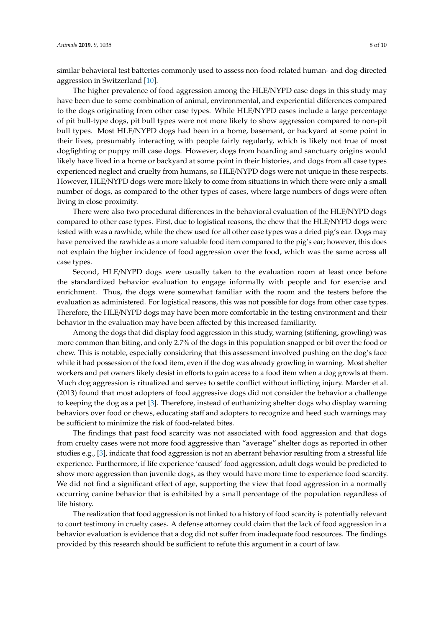similar behavioral test batteries commonly used to assess non-food-related human- and dog-directed aggression in Switzerland [\[10\]](#page-9-9).

The higher prevalence of food aggression among the HLE/NYPD case dogs in this study may have been due to some combination of animal, environmental, and experiential differences compared to the dogs originating from other case types. While HLE/NYPD cases include a large percentage of pit bull-type dogs, pit bull types were not more likely to show aggression compared to non-pit bull types. Most HLE/NYPD dogs had been in a home, basement, or backyard at some point in their lives, presumably interacting with people fairly regularly, which is likely not true of most dogfighting or puppy mill case dogs. However, dogs from hoarding and sanctuary origins would likely have lived in a home or backyard at some point in their histories, and dogs from all case types experienced neglect and cruelty from humans, so HLE/NYPD dogs were not unique in these respects. However, HLE/NYPD dogs were more likely to come from situations in which there were only a small number of dogs, as compared to the other types of cases, where large numbers of dogs were often living in close proximity.

There were also two procedural differences in the behavioral evaluation of the HLE/NYPD dogs compared to other case types. First, due to logistical reasons, the chew that the HLE/NYPD dogs were tested with was a rawhide, while the chew used for all other case types was a dried pig's ear. Dogs may have perceived the rawhide as a more valuable food item compared to the pig's ear; however, this does not explain the higher incidence of food aggression over the food, which was the same across all case types.

Second, HLE/NYPD dogs were usually taken to the evaluation room at least once before the standardized behavior evaluation to engage informally with people and for exercise and enrichment. Thus, the dogs were somewhat familiar with the room and the testers before the evaluation as administered. For logistical reasons, this was not possible for dogs from other case types. Therefore, the HLE/NYPD dogs may have been more comfortable in the testing environment and their behavior in the evaluation may have been affected by this increased familiarity.

Among the dogs that did display food aggression in this study, warning (stiffening, growling) was more common than biting, and only 2.7% of the dogs in this population snapped or bit over the food or chew. This is notable, especially considering that this assessment involved pushing on the dog's face while it had possession of the food item, even if the dog was already growling in warning. Most shelter workers and pet owners likely desist in efforts to gain access to a food item when a dog growls at them. Much dog aggression is ritualized and serves to settle conflict without inflicting injury. Marder et al. (2013) found that most adopters of food aggressive dogs did not consider the behavior a challenge to keeping the dog as a pet [\[3\]](#page-9-2). Therefore, instead of euthanizing shelter dogs who display warning behaviors over food or chews, educating staff and adopters to recognize and heed such warnings may be sufficient to minimize the risk of food-related bites.

The findings that past food scarcity was not associated with food aggression and that dogs from cruelty cases were not more food aggressive than "average" shelter dogs as reported in other studies e.g., [\[3\]](#page-9-2), indicate that food aggression is not an aberrant behavior resulting from a stressful life experience. Furthermore, if life experience 'caused' food aggression, adult dogs would be predicted to show more aggression than juvenile dogs, as they would have more time to experience food scarcity. We did not find a significant effect of age, supporting the view that food aggression in a normally occurring canine behavior that is exhibited by a small percentage of the population regardless of life history.

The realization that food aggression is not linked to a history of food scarcity is potentially relevant to court testimony in cruelty cases. A defense attorney could claim that the lack of food aggression in a behavior evaluation is evidence that a dog did not suffer from inadequate food resources. The findings provided by this research should be sufficient to refute this argument in a court of law.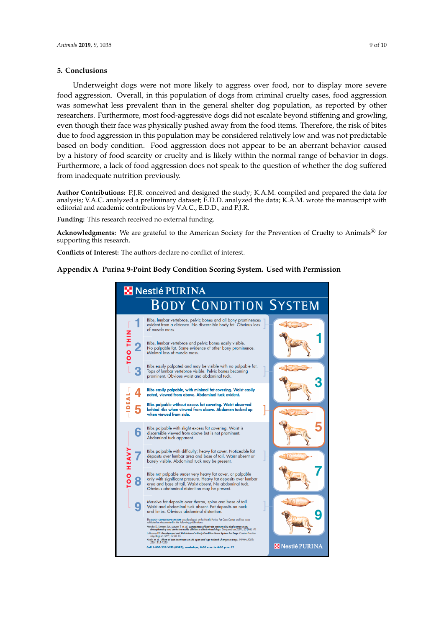#### **5. Conclusions**  $\mathcal{C}$  underweight dogs were not more likely to aggress over food, nor to display more severe food, nor to display more severe food, nor to display more severe food, nor to display more severe food, nor to display more

Underweight dogs were not more likely to aggress over food, nor to display more severe food aggression. Overall, in this population of dogs from criminal cruelty cases, food aggression was somewhat less prevalent than in the general shelter dog population, as reported by other researchers. Furthermore, most food-aggressive dogs did not escalate beyond stiffening and growling, even though their face was physically pushed away from the food items. Therefore, the risk of bites due to food aggression in this population may be considered relatively low and was not predictable based on body condition. Food aggression does not appear to be an aberrant behavior caused by a history of food scarcity or cruelty and is likely within the normal range of behavior in dogs. Furthermore, a lack of food aggression does not speak to the question of whether the dog suffered from inadequate nutrition previously.<br>**Promined and designed and designed the study; R.M. compiled and prepared the study; K.M. compiled and product** 

Author Contributions: P.J.R. conceived and designed the study; K.A.M. compiled and prepared the data for analysis; V.A.C. analyzed a preliminary dataset; E.D.D. analyzed the data; K.A.M. wrote the manuscript with editorial and academic contributions by V.A.C., E.D.D., and P.J.R.<br>-

**Funding:** This research received no external funding.  $\mathcal{A}$  and American Society for the American Society for the American Society for the Prevention of Cruel

Acknowledgments: We are grateful to the American Society for the Prevention of Cruelty to Animals<sup>®</sup> for supporting this research.

**Conflicts of Interest:** The authors declare no conflict of interest. **Conflicts of Interest:** The authors declare no conflict of interest.

# <span id="page-8-0"></span>**Appendix A Purina 9-Point Body Condition Scoring System. Used with Permission Appendix A. Purina 9-Point Body Condition Scoring System. Used with Permission**